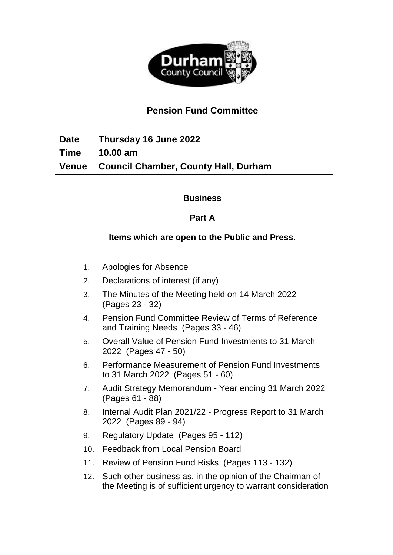

# **Pension Fund Committee**

**Date Thursday 16 June 2022 Time 10.00 am Venue Council Chamber, County Hall, Durham**

#### **Business**

#### **Part A**

#### **Items which are open to the Public and Press.**

- 1. Apologies for Absence
- 2. Declarations of interest (if any)
- 3. The Minutes of the Meeting held on 14 March 2022 (Pages 23 - 32)
- 4. Pension Fund Committee Review of Terms of Reference and Training Needs(Pages 33 - 46)
- 5. Overall Value of Pension Fund Investments to 31 March 2022(Pages 47 - 50)
- 6. Performance Measurement of Pension Fund Investments to 31 March 2022(Pages 51 - 60)
- 7. Audit Strategy Memorandum Year ending 31 March 2022 (Pages 61 - 88)
- 8. Internal Audit Plan 2021/22 Progress Report to 31 March 2022(Pages 89 - 94)
- 9. Regulatory Update(Pages 95 112)
- 10. Feedback from Local Pension Board
- 11. Review of Pension Fund Risks(Pages 113 132)
- 12. Such other business as, in the opinion of the Chairman of the Meeting is of sufficient urgency to warrant consideration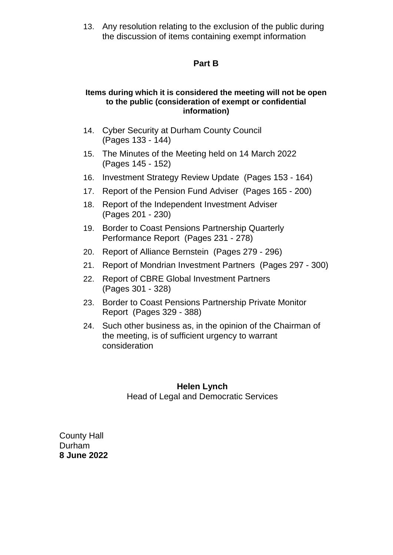13. Any resolution relating to the exclusion of the public during the discussion of items containing exempt information

## **Part B**

#### **Items during which it is considered the meeting will not be open to the public (consideration of exempt or confidential information)**

- 14. Cyber Security at Durham County Council (Pages 133 - 144)
- 15. The Minutes of the Meeting held on 14 March 2022 (Pages 145 - 152)
- 16. Investment Strategy Review Update(Pages 153 164)
- 17. Report of the Pension Fund Adviser(Pages 165 200)
- 18. Report of the Independent Investment Adviser (Pages 201 - 230)
- 19. Border to Coast Pensions Partnership Quarterly Performance Report(Pages 231 - 278)
- 20. Report of Alliance Bernstein(Pages 279 296)
- 21. Report of Mondrian Investment Partners(Pages 297 300)
- 22. Report of CBRE Global Investment Partners (Pages 301 - 328)
- 23. Border to Coast Pensions Partnership Private Monitor Report(Pages 329 - 388)
- 24. Such other business as, in the opinion of the Chairman of the meeting, is of sufficient urgency to warrant consideration

#### **Helen Lynch** Head of Legal and Democratic Services

County Hall Durham **8 June 2022**